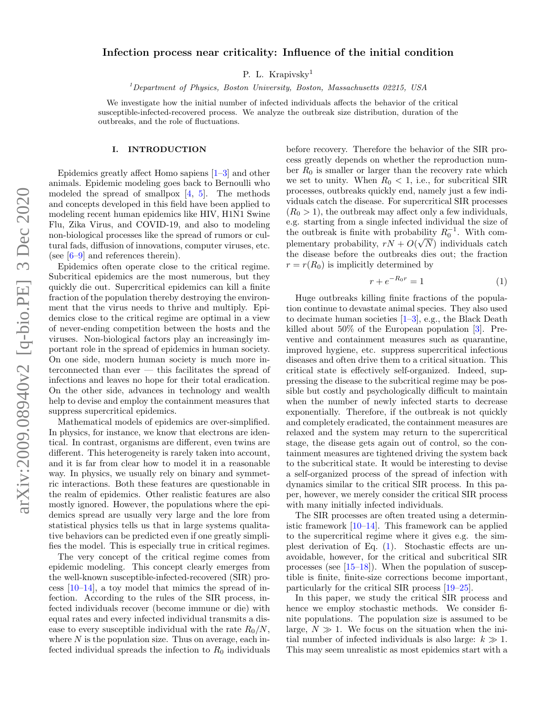# Infection process near criticality: Influence of the initial condition

P. L. Krapivsky<sup>1</sup>

 $1$ Department of Physics, Boston University, Boston, Massachusetts 02215, USA

We investigate how the initial number of infected individuals affects the behavior of the critical susceptible-infected-recovered process. We analyze the outbreak size distribution, duration of the outbreaks, and the role of fluctuations.

### I. INTRODUCTION

Epidemics greatly affect Homo sapiens [\[1–](#page-8-0)[3\]](#page-8-1) and other animals. Epidemic modeling goes back to Bernoulli who modeled the spread of smallpox  $[4, 5]$  $[4, 5]$ . The methods and concepts developed in this field have been applied to modeling recent human epidemics like HIV, H1N1 Swine Flu, Zika Virus, and COVID-19, and also to modeling non-biological processes like the spread of rumors or cultural fads, diffusion of innovations, computer viruses, etc. (see  $[6-9]$  $[6-9]$  and references therein).

Epidemics often operate close to the critical regime. Subcritical epidemics are the most numerous, but they quickly die out. Supercritical epidemics can kill a finite fraction of the population thereby destroying the environment that the virus needs to thrive and multiply. Epidemics close to the critical regime are optimal in a view of never-ending competition between the hosts and the viruses. Non-biological factors play an increasingly important role in the spread of epidemics in human society. On one side, modern human society is much more interconnected than ever — this facilitates the spread of infections and leaves no hope for their total eradication. On the other side, advances in technology and wealth help to devise and employ the containment measures that suppress supercritical epidemics.

Mathematical models of epidemics are over-simplified. In physics, for instance, we know that electrons are identical. In contrast, organisms are different, even twins are different. This heterogeneity is rarely taken into account, and it is far from clear how to model it in a reasonable way. In physics, we usually rely on binary and symmetric interactions. Both these features are questionable in the realm of epidemics. Other realistic features are also mostly ignored. However, the populations where the epidemics spread are usually very large and the lore from statistical physics tells us that in large systems qualitative behaviors can be predicted even if one greatly simplifies the model. This is especially true in critical regimes.

The very concept of the critical regime comes from epidemic modeling. This concept clearly emerges from the well-known susceptible-infected-recovered (SIR) process  $[10-14]$ , a toy model that mimics the spread of infection. According to the rules of the SIR process, infected individuals recover (become immune or die) with equal rates and every infected individual transmits a disease to every susceptible individual with the rate  $R_0/N$ , where  $N$  is the population size. Thus on average, each infected individual spreads the infection to  $R_0$  individuals

before recovery. Therefore the behavior of the SIR process greatly depends on whether the reproduction number  $R_0$  is smaller or larger than the recovery rate which we set to unity. When  $R_0 < 1$ , i.e., for subcritical SIR processes, outbreaks quickly end, namely just a few individuals catch the disease. For supercritical SIR processes  $(R_0 > 1)$ , the outbreak may affect only a few individuals, e.g. starting from a single infected individual the size of the outbreak is finite with probability  $R_0^{-1}$ . With complementary probability,  $rN + O(\sqrt{N})$  individuals catch the disease before the outbreaks dies out; the fraction  $r = r(R_0)$  is implicitly determined by

<span id="page-0-0"></span>
$$
r + e^{-R_0 r} = 1\tag{1}
$$

Huge outbreaks killing finite fractions of the population continue to devastate animal species. They also used to decimate human societies [\[1–](#page-8-0)[3\]](#page-8-1), e.g., the Black Death killed about 50% of the European population [\[3\]](#page-8-1). Preventive and containment measures such as quarantine, improved hygiene, etc. suppress supercritical infectious diseases and often drive them to a critical situation. This critical state is effectively self-organized. Indeed, suppressing the disease to the subcritical regime may be possible but costly and psychologically difficult to maintain when the number of newly infected starts to decrease exponentially. Therefore, if the outbreak is not quickly and completely eradicated, the containment measures are relaxed and the system may return to the supercritical stage, the disease gets again out of control, so the containment measures are tightened driving the system back to the subcritical state. It would be interesting to devise a self-organized process of the spread of infection with dynamics similar to the critical SIR process. In this paper, however, we merely consider the critical SIR process with many initially infected individuals.

The SIR processes are often treated using a deterministic framework  $[10-14]$ . This framework can be applied to the supercritical regime where it gives e.g. the simplest derivation of Eq. [\(1\)](#page-0-0). Stochastic effects are unavoidable, however, for the critical and subcritical SIR processes (see [\[15](#page-9-3)[–18\]](#page-9-4)). When the population of susceptible is finite, finite-size corrections become important, particularly for the critical SIR process [\[19–](#page-9-5)[25\]](#page-9-6).

In this paper, we study the critical SIR process and hence we employ stochastic methods. We consider finite populations. The population size is assumed to be large,  $N \gg 1$ . We focus on the situation when the initial number of infected individuals is also large:  $k \gg 1$ . This may seem unrealistic as most epidemics start with a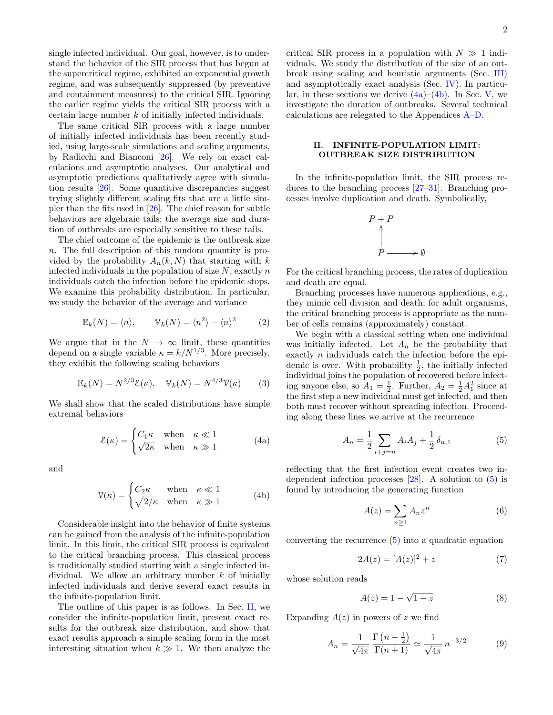single infected individual. Our goal, however, is to understand the behavior of the SIR process that has begun at the supercritical regime, exhibited an exponential growth regime, and was subsequently suppressed (by preventive and containment measures) to the critical SIR. Ignoring the earlier regime yields the critical SIR process with a certain large number k of initially infected individuals.

The same critical SIR process with a large number of initially infected individuals has been recently studied, using large-scale simulations and scaling arguments, by Radicchi and Bianconi [\[26\]](#page-9-7). We rely on exact calculations and asymptotic analyses. Our analytical and asymptotic predictions qualitatively agree with simulation results [\[26\]](#page-9-7). Some quantitive discrepancies suggest trying slightly different scaling fits that are a little simpler than the fits used in [\[26\]](#page-9-7). The chief reason for subtle behaviors are algebraic tails; the average size and duration of outbreaks are especially sensitive to these tails.

The chief outcome of the epidemic is the outbreak size n. The full description of this random quantity is provided by the probability  $A_n(k, N)$  that starting with k infected individuals in the population of size  $N$ , exactly  $n$ individuals catch the infection before the epidemic stops. We examine this probability distribution. In particular, we study the behavior of the average and variance

<span id="page-1-5"></span>
$$
\mathbb{E}_k(N) = \langle n \rangle, \qquad \mathbb{V}_k(N) = \langle n^2 \rangle - \langle n \rangle^2 \tag{2}
$$

We argue that in the  $N \to \infty$  limit, these quantities depend on a single variable  $\kappa = k/N^{1/3}$ . More precisely, they exhibit the following scaling behaviors

$$
\mathbb{E}_k(N) = N^{2/3} \mathcal{E}(\kappa), \quad \mathbb{V}_k(N) = N^{4/3} \mathcal{V}(\kappa) \tag{3}
$$

We shall show that the scaled distributions have simple extremal behaviors

<span id="page-1-1"></span>
$$
\mathcal{E}(\kappa) = \begin{cases} C_1 \kappa & \text{when } \kappa \ll 1\\ \sqrt{2\kappa} & \text{when } \kappa \gg 1 \end{cases}
$$
 (4a)

and

<span id="page-1-2"></span>
$$
\mathcal{V}(\kappa) = \begin{cases} C_2 \kappa & \text{when } \kappa \ll 1 \\ \sqrt{2/\kappa} & \text{when } \kappa \gg 1 \end{cases}
$$
 (4b)

Considerable insight into the behavior of finite systems can be gained from the analysis of the infinite-population limit. In this limit, the critical SIR process is equivalent to the critical branching process. This classical process is traditionally studied starting with a single infected individual. We allow an arbitrary number  $k$  of initially infected individuals and derive several exact results in the infinite-population limit.

The outline of this paper is as follows. In Sec. [II,](#page-1-0) we consider the infinite-population limit, present exact results for the outbreak size distribution, and show that exact results approach a simple scaling form in the most interesting situation when  $k \gg 1$ . We then analyze the

critical SIR process in a population with  $N \gg 1$  individuals. We study the distribution of the size of an outbreak using scaling and heuristic arguments (Sec. [III\)](#page-3-0) and asymptotically exact analysis (Sec. [IV\)](#page-4-0). In particular, in these sections we derive  $(4a)$ – $(4b)$ . In Sec. [V,](#page-7-0) we investigate the duration of outbreaks. Several technical calculations are relegated to the Appendices [A–](#page-9-8)[D.](#page-11-0)

## <span id="page-1-0"></span>II. INFINITE-POPULATION LIMIT: OUTBREAK SIZE DISTRIBUTION

In the infinite-population limit, the SIR process reduces to the branching process [\[27–](#page-9-9)[31\]](#page-9-10). Branching processes involve duplication and death. Symbolically,



For the critical branching process, the rates of duplication and death are equal.

Branching processes have numerous applications, e.g., they mimic cell division and death; for adult organisms, the critical branching process is appropriate as the number of cells remains (approximately) constant.

We begin with a classical setting when one individual was initially infected. Let  $A_n$  be the probability that exactly  $n$  individuals catch the infection before the epidemic is over. With probability  $\frac{1}{2}$ , the initially infected individual joins the population of recovered before infecting anyone else, so  $A_1 = \frac{1}{2}$ . Further,  $A_2 = \frac{1}{2}A_1^2$  since at the first step a new individual must get infected, and then both must recover without spreading infection. Proceeding along these lines we arrive at the recurrence

<span id="page-1-3"></span>
$$
A_n = \frac{1}{2} \sum_{i+j=n} A_i A_j + \frac{1}{2} \delta_{n,1} \tag{5}
$$

reflecting that the first infection event creates two independent infection processes  $[28]$ . A solution to  $(5)$  is found by introducing the generating function

$$
A(z) = \sum_{n \ge 1} A_n z^n \tag{6}
$$

converting the recurrence [\(5\)](#page-1-3) into a quadratic equation

$$
2A(z) = [A(z)]^2 + z \tag{7}
$$

whose solution reads

$$
A(z) = 1 - \sqrt{1 - z} \tag{8}
$$

Expanding  $A(z)$  in powers of z we find

<span id="page-1-4"></span>
$$
A_n = \frac{1}{\sqrt{4\pi}} \frac{\Gamma(n - \frac{1}{2})}{\Gamma(n + 1)} \simeq \frac{1}{\sqrt{4\pi}} n^{-3/2}
$$
 (9)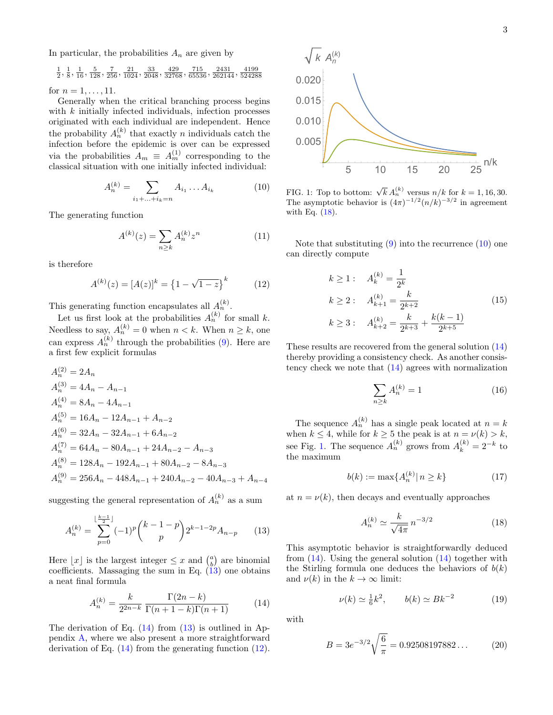$$
\frac{1}{2}, \frac{1}{8}, \frac{1}{16}, \frac{5}{128}, \frac{7}{256}, \frac{21}{1024}, \frac{33}{2048}, \frac{429}{32768}, \frac{715}{65536}, \frac{2431}{262144}, \frac{4199}{524288}
$$

for  $n = 1, ..., 11$ .

Generally when the critical branching process begins with k initially infected individuals, infection processes originated with each individual are independent. Hence the probability  $A_n^{(k)}$  that exactly n individuals catch the infection before the epidemic is over can be expressed via the probabilities  $A_m \equiv A_m^{(1)}$  corresponding to the classical situation with one initially infected individual:

<span id="page-2-4"></span>
$$
A_n^{(k)} = \sum_{i_1 + \ldots + i_k = n} A_{i_1} \ldots A_{i_k} \tag{10}
$$

The generating function

$$
A^{(k)}(z) = \sum_{n \ge k} A_n^{(k)} z^n \tag{11}
$$

is therefore

<span id="page-2-2"></span>
$$
A^{(k)}(z) = [A(z)]^k = \left\{1 - \sqrt{1 - z}\right\}^k \tag{12}
$$

This generating function encapsulates all  $A_n^{(k)}$ .

Let us first look at the probabilities  $A_n^{(k)}$  for small k. Needless to say,  $A_n^{(k)} = 0$  when  $n < k$ . When  $n \geq k$ , one can express  $A_n^{(k)}$  through the probabilities [\(9\)](#page-1-4). Here are a first few explicit formulas

$$
A_n^{(2)} = 2A_n
$$
  
\n
$$
A_n^{(3)} = 4A_n - A_{n-1}
$$
  
\n
$$
A_n^{(4)} = 8A_n - 4A_{n-1}
$$
  
\n
$$
A_n^{(5)} = 16A_n - 12A_{n-1} + A_{n-2}
$$
  
\n
$$
A_n^{(6)} = 32A_n - 32A_{n-1} + 6A_{n-2}
$$
  
\n
$$
A_n^{(7)} = 64A_n - 80A_{n-1} + 24A_{n-2} - A_{n-3}
$$
  
\n
$$
A_n^{(8)} = 128A_n - 192A_{n-1} + 80A_{n-2} - 8A_{n-3}
$$
  
\n
$$
A_n^{(9)} = 256A_n - 448A_{n-1} + 240A_{n-2} - 40A_{n-3} + A_{n-4}
$$

suggesting the general representation of  $A_n^{(k)}$  as a sum

<span id="page-2-0"></span>
$$
A_n^{(k)} = \sum_{p=0}^{\lfloor \frac{k-1}{2} \rfloor} (-1)^p {k-1-p \choose p} 2^{k-1-2p} A_{n-p} \qquad (13)
$$

Here  $\lfloor x \rfloor$  is the largest integer  $\leq x$  and  $\binom{a}{b}$  are binomial coefficients. Massaging the sum in Eq.  $(13)$  one obtains a neat final formula

<span id="page-2-1"></span>
$$
A_n^{(k)} = \frac{k}{2^{2n-k}} \frac{\Gamma(2n-k)}{\Gamma(n+1-k)\Gamma(n+1)}
$$
(14)

The derivation of Eq.  $(14)$  from  $(13)$  is outlined in Appendix [A,](#page-9-8) where we also present a more straightforward derivation of Eq.  $(14)$  from the generating function  $(12)$ .



<span id="page-2-5"></span>FIG. 1: Top to bottom:  $\sqrt{k} A_n^{(k)}$  versus  $n/k$  for  $k = 1, 16, 30$ . The asymptotic behavior is  $(4\pi)^{-1/2}(n/k)^{-3/2}$  in agreement with Eq. [\(18\)](#page-2-3).

Note that substituting  $(9)$  into the recurrence  $(10)$  one can directly compute

$$
k \ge 1: \quad A_k^{(k)} = \frac{1}{2^k}
$$
  
\n
$$
k \ge 2: \quad A_{k+1}^{(k)} = \frac{k}{2^{k+2}}
$$
  
\n
$$
k \ge 3: \quad A_{k+2}^{(k)} = \frac{k}{2^{k+3}} + \frac{k(k-1)}{2^{k+5}}
$$
\n(15)

These results are recovered from the general solution [\(14\)](#page-2-1) thereby providing a consistency check. As another consistency check we note that [\(14\)](#page-2-1) agrees with normalization

$$
\sum_{n\geq k} A_n^{(k)} = 1\tag{16}
$$

The sequence  $A_n^{(k)}$  has a single peak located at  $n = k$ when  $k \leq 4$ , while for  $k \geq 5$  the peak is at  $n = \nu(k) > k$ , see Fig. [1.](#page-2-5) The sequence  $A_n^{(k)}$  grows from  $A_k^{(k)} = 2^{-k}$  to the maximum

$$
b(k) := \max\{A_n^{(k)} | n \ge k\} \tag{17}
$$

at  $n = \nu(k)$ , then decays and eventually approaches

<span id="page-2-3"></span>
$$
A_n^{(k)} \simeq \frac{k}{\sqrt{4\pi}} n^{-3/2} \tag{18}
$$

This asymptotic behavior is straightforwardly deduced from  $(14)$ . Using the general solution  $(14)$  together with the Stirling formula one deduces the behaviors of  $b(k)$ and  $\nu(k)$  in the  $k \to \infty$  limit:

<span id="page-2-6"></span>
$$
\nu(k) \simeq \frac{1}{6}k^2, \qquad b(k) \simeq Bk^{-2} \tag{19}
$$

with

<span id="page-2-7"></span>
$$
B = 3e^{-3/2}\sqrt{\frac{6}{\pi}} = 0.92508197882\ldots
$$
 (20)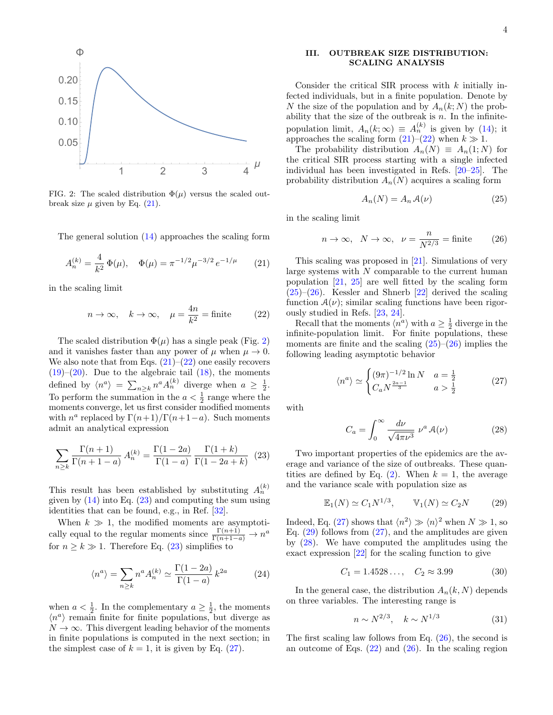

<span id="page-3-2"></span>FIG. 2: The scaled distribution  $\Phi(\mu)$  versus the scaled outbreak size  $\mu$  given by Eq. [\(21\)](#page-3-1).

The general solution [\(14\)](#page-2-1) approaches the scaling form

<span id="page-3-1"></span>
$$
A_n^{(k)} = \frac{4}{k^2} \Phi(\mu), \quad \Phi(\mu) = \pi^{-1/2} \mu^{-3/2} e^{-1/\mu} \qquad (21)
$$

in the scaling limit

<span id="page-3-3"></span>
$$
n \to \infty
$$
,  $k \to \infty$ ,  $\mu = \frac{4n}{k^2} = \text{finite}$  (22)

The scaled distribution  $\Phi(\mu)$  has a single peak (Fig. [2\)](#page-3-2) and it vanishes faster than any power of  $\mu$  when  $\mu \to 0$ . We also note that from Eqs.  $(21)$ – $(22)$  one easily recovers  $(19)$ – $(20)$ . Due to the algebraic tail  $(18)$ , the moments defined by  $\langle n^a \rangle = \sum_{n \geq k} n^a A_n^{(k)}$  diverge when  $a \geq \frac{1}{2}$ . To perform the summation in the  $a < \frac{1}{2}$  range where the moments converge, let us first consider modified moments with  $n^a$  replaced by  $\Gamma(n+1)/\Gamma(n+1-a)$ . Such moments admit an analytical expression

<span id="page-3-4"></span>
$$
\sum_{n\geq k} \frac{\Gamma(n+1)}{\Gamma(n+1-a)} A_n^{(k)} = \frac{\Gamma(1-2a)}{\Gamma(1-a)} \frac{\Gamma(1+k)}{\Gamma(1-2a+k)} \tag{23}
$$

This result has been established by substituting  $A_n^{(k)}$ given by  $(14)$  into Eq.  $(23)$  and computing the sum using identities that can be found, e.g., in Ref. [\[32\]](#page-9-12).

When  $k \gg 1$ , the modified moments are asymptotically equal to the regular moments since  $\frac{\Gamma(n+1)}{\Gamma(n+1-a)} \to n^a$ for  $n \geq k \gg 1$ . Therefore Eq. [\(23\)](#page-3-4) simplifies to

$$
\langle n^a \rangle = \sum_{n \ge k} n^a A_n^{(k)} \simeq \frac{\Gamma(1 - 2a)}{\Gamma(1 - a)} k^{2a} \tag{24}
$$

when  $a < \frac{1}{2}$ . In the complementary  $a \geq \frac{1}{2}$ , the moments  $\langle n^a \rangle$  remain finite for finite populations, but diverge as  $N \to \infty$ . This divergent leading behavior of the moments in finite populations is computed in the next section; in the simplest case of  $k = 1$ , it is given by Eq. [\(27\)](#page-3-5).

## <span id="page-3-0"></span>III. OUTBREAK SIZE DISTRIBUTION: SCALING ANALYSIS

Consider the critical SIR process with  $k$  initially infected individuals, but in a finite population. Denote by N the size of the population and by  $A_n(k;N)$  the probability that the size of the outbreak is  $n$ . In the infinitepopulation limit,  $A_n(k;\infty) \equiv A_n^{(k)}$  is given by [\(14\)](#page-2-1); it approaches the scaling form  $(21)$ – $(22)$  when  $k \gg 1$ .

The probability distribution  $A_n(N) \equiv A_n(1;N)$  for the critical SIR process starting with a single infected individual has been investigated in Refs. [\[20](#page-9-13)[–25\]](#page-9-6). The probability distribution  $A_n(N)$  acquires a scaling form

<span id="page-3-6"></span>
$$
A_n(N) = A_n \mathcal{A}(\nu) \tag{25}
$$

in the scaling limit

<span id="page-3-7"></span>
$$
n \to \infty
$$
,  $N \to \infty$ ,  $\nu = \frac{n}{N^{2/3}}$  = finite (26)

This scaling was proposed in [\[21\]](#page-9-14). Simulations of very large systems with  $N$  comparable to the current human population [\[21,](#page-9-14) [25\]](#page-9-6) are well fitted by the scaling form  $(25)-(26)$  $(25)-(26)$  $(25)-(26)$ . Kessler and Shnerb  $[22]$  derived the scaling function  $A(\nu)$ ; similar scaling functions have been rigorously studied in Refs. [\[23,](#page-9-16) [24\]](#page-9-17).

Recall that the moments  $\langle n^a \rangle$  with  $a \geq \frac{1}{2}$  diverge in the infinite-population limit. For finite populations, these moments are finite and the scaling  $(25)-(26)$  $(25)-(26)$  implies the following leading asymptotic behavior

<span id="page-3-5"></span>
$$
\langle n^{a} \rangle \simeq \begin{cases} (9\pi)^{-1/2} \ln N & a = \frac{1}{2} \\ C_{a} N^{\frac{2a-1}{3}} & a > \frac{1}{2} \end{cases}
$$
 (27)

with

<span id="page-3-9"></span>
$$
C_a = \int_0^\infty \frac{d\nu}{\sqrt{4\pi\nu^3}} \ \nu^a \mathcal{A}(\nu) \tag{28}
$$

Two important properties of the epidemics are the average and variance of the size of outbreaks. These quantities are defined by Eq.  $(2)$ . When  $k = 1$ , the average and the variance scale with population size as

<span id="page-3-8"></span>
$$
\mathbb{E}_1(N) \simeq C_1 N^{1/3}, \qquad \mathbb{V}_1(N) \simeq C_2 N \tag{29}
$$

Indeed, Eq. [\(27\)](#page-3-5) shows that  $\langle n^2 \rangle \gg \langle n \rangle^2$  when  $N \gg 1$ , so Eq.  $(29)$  follows from  $(27)$ , and the amplitudes are given by [\(28\)](#page-3-9). We have computed the amplitudes using the exact expression [\[22\]](#page-9-15) for the scaling function to give

<span id="page-3-11"></span>
$$
C_1 = 1.4528..., \quad C_2 \approx 3.99 \tag{30}
$$

In the general case, the distribution  $A_n(k, N)$  depends on three variables. The interesting range is

<span id="page-3-10"></span>
$$
n \sim N^{2/3}, \quad k \sim N^{1/3} \tag{31}
$$

The first scaling law follows from Eq. [\(26\)](#page-3-7), the second is an outcome of Eqs.  $(22)$  and  $(26)$ . In the scaling region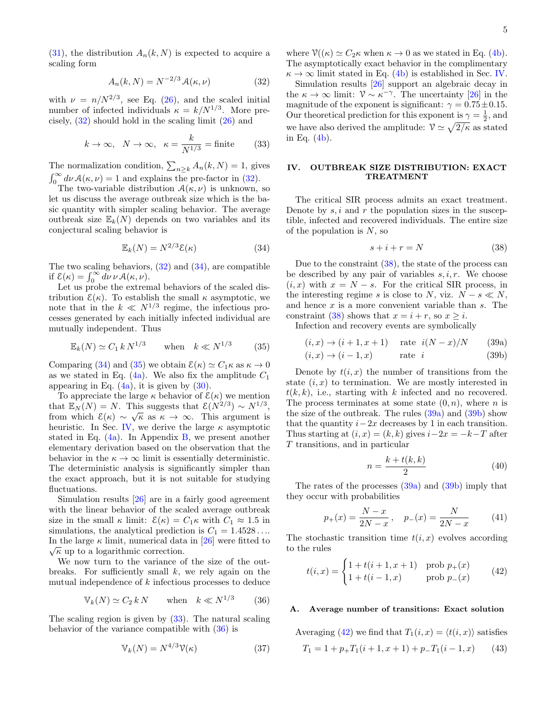$(31)$ , the distribution  $A_n(k, N)$  is expected to acquire a scaling form

<span id="page-4-1"></span>
$$
A_n(k, N) = N^{-2/3} \mathcal{A}(\kappa, \nu) \tag{32}
$$

with  $\nu = n/N^{2/3}$ , see Eq. [\(26\)](#page-3-7), and the scaled initial number of infected individuals  $\kappa = k/N^{1/3}$ . More precisely, [\(32\)](#page-4-1) should hold in the scaling limit [\(26\)](#page-3-7) and

<span id="page-4-4"></span>
$$
k \to \infty
$$
,  $N \to \infty$ ,  $\kappa = \frac{k}{N^{1/3}} = \text{finite}$  (33)

The normalization condition,  $\sum_{n\geq k} A_n(k, N) = 1$ , gives  $\int_0^\infty d\nu \mathcal{A}(\kappa,\nu) = 1$  and explains the pre-factor in [\(32\)](#page-4-1).

The two-variable distribution  $A(\kappa, \nu)$  is unknown, so let us discuss the average outbreak size which is the basic quantity with simpler scaling behavior. The average outbreak size  $\mathbb{E}_k(N)$  depends on two variables and its conjectural scaling behavior is

<span id="page-4-2"></span>
$$
\mathbb{E}_k(N) = N^{2/3} \mathcal{E}(\kappa) \tag{34}
$$

The two scaling behaviors, [\(32\)](#page-4-1) and [\(34\)](#page-4-2), are compatible if  $\mathcal{E}(\kappa) = \int_0^\infty d\nu \, \nu \, \mathcal{A}(\kappa, \nu).$ 

Let us probe the extremal behaviors of the scaled distribution  $\mathcal{E}(\kappa)$ . To establish the small  $\kappa$  asymptotic, we note that in the  $k \ll N^{1/3}$  regime, the infectious processes generated by each initially infected individual are mutually independent. Thus

<span id="page-4-3"></span>
$$
\mathbb{E}_k(N) \simeq C_1 k N^{1/3} \qquad \text{when} \quad k \ll N^{1/3} \tag{35}
$$

Comparing [\(34\)](#page-4-2) and [\(35\)](#page-4-3) we obtain  $\mathcal{E}(\kappa) \simeq C_1 \kappa$  as  $\kappa \to 0$ as we stated in Eq. [\(4a\)](#page-1-1). We also fix the amplitude  $C_1$ appearing in Eq.  $(4a)$ , it is given by  $(30)$ .

To appreciate the large  $\kappa$  behavior of  $\mathcal{E}(\kappa)$  we mention that  $\mathbb{E}_N(N) = N$ . This suggests that  $\mathcal{E}(N^{2/3}) \sim N^{1/3}$ , from which  $\mathcal{E}(\kappa) \sim \sqrt{\kappa}$  as  $\kappa \to \infty$ . This argument is heuristic. In Sec. [IV,](#page-4-0) we derive the large  $\kappa$  asymptotic stated in Eq.  $(4a)$ . In Appendix [B,](#page-9-18) we present another elementary derivation based on the observation that the behavior in the  $\kappa \to \infty$  limit is essentially deterministic. The deterministic analysis is significantly simpler than the exact approach, but it is not suitable for studying fluctuations.

Simulation results [\[26\]](#page-9-7) are in a fairly good agreement with the linear behavior of the scaled average outbreak size in the small  $\kappa$  limit:  $\mathcal{E}(\kappa) = C_1 \kappa$  with  $C_1 \approx 1.5$  in simulations, the analytical prediction is  $C_1 = 1.4528...$ In the large  $\kappa$  limit, numerical data in [\[26\]](#page-9-7) were fitted to  $\sqrt{\kappa}$  up to a logarithmic correction.

We now turn to the variance of the size of the outbreaks. For sufficiently small  $k$ , we rely again on the mutual independence of  $k$  infectious processes to deduce

<span id="page-4-5"></span>
$$
\mathbb{V}_k(N) \simeq C_2 \, k \, N \qquad \text{when} \quad k \ll N^{1/3} \tag{36}
$$

The scaling region is given by [\(33\)](#page-4-4). The natural scaling behavior of the variance compatible with [\(36\)](#page-4-5) is

$$
\mathbb{V}_k(N) = N^{4/3} \mathcal{V}(\kappa) \tag{37}
$$

where  $\mathcal{V}((\kappa) \simeq C_2 \kappa$  when  $\kappa \to 0$  as we stated in Eq. [\(4b\)](#page-1-2). The asymptotically exact behavior in the complimentary  $\kappa \to \infty$  limit stated in Eq. [\(4b\)](#page-1-2) is established in Sec. [IV.](#page-4-0) Simulation results [\[26\]](#page-9-7) support an algebraic decay in the  $\kappa \to \infty$  limit:  $\mathcal{V} \sim \kappa^{-\gamma}$ . The uncertainty [\[26\]](#page-9-7) in the magnitude of the exponent is significant:  $\gamma = 0.75 \pm 0.15$ . Our theoretical prediction for this exponent is  $\gamma = \frac{1}{2}$ , and we have also derived the amplitude:  $\mathcal{V} \simeq \sqrt{2/\kappa}$  as stated in Eq.  $(4b)$ .

### <span id="page-4-0"></span>IV. OUTBREAK SIZE DISTRIBUTION: EXACT TREATMENT

The critical SIR process admits an exact treatment. Denote by  $s, i$  and  $r$  the population sizes in the susceptible, infected and recovered individuals. The entire size of the population is  $N$ , so

<span id="page-4-8"></span><span id="page-4-7"></span><span id="page-4-6"></span>
$$
s + i + r = N \tag{38}
$$

Due to the constraint [\(38\)](#page-4-6), the state of the process can be described by any pair of variables  $s, i, r$ . We choose  $(i, x)$  with  $x = N - s$ . For the critical SIR process, in the interesting regime s is close to N, viz.  $N - s \ll N$ , and hence  $x$  is a more convenient variable than  $s$ . The constraint [\(38\)](#page-4-6) shows that  $x = i + r$ , so  $x \geq i$ .

Infection and recovery events are symbolically

$$
(i, x) \to (i + 1, x + 1)
$$
 rate  $i(N - x)/N$  (39a)

$$
(i, x) \to (i - 1, x) \qquad \text{rate} \quad i \tag{39b}
$$

Denote by  $t(i, x)$  the number of transitions from the state  $(i, x)$  to termination. We are mostly interested in  $t(k, k)$ , i.e., starting with k infected and no recovered. The process terminates at some state  $(0, n)$ , where *n* is the size of the outbreak. The rules  $(39a)$  and  $(39b)$  show that the quantity  $i-2x$  decreases by 1 in each transition. Thus starting at  $(i, x) = (k, k)$  gives  $i - 2x = -k - T$  after T transitions, and in particular

<span id="page-4-11"></span>
$$
n = \frac{k + t(k, k)}{2} \tag{40}
$$

The rates of the processes [\(39a\)](#page-4-7) and [\(39b\)](#page-4-8) imply that they occur with probabilities

$$
p_{+}(x) = \frac{N-x}{2N-x}, \quad p_{-}(x) = \frac{N}{2N-x}
$$
(41)

The stochastic transition time  $t(i, x)$  evolves according to the rules

<span id="page-4-9"></span>
$$
t(i,x) = \begin{cases} 1 + t(i+1, x+1) & \text{prob } p_{+}(x) \\ 1 + t(i-1, x) & \text{prob } p_{-}(x) \end{cases}
$$
(42)

### A. Average number of transitions: Exact solution

Averaging [\(42\)](#page-4-9) we find that  $T_1(i, x) = \langle t(i, x) \rangle$  satisfies

<span id="page-4-10"></span>
$$
T_1 = 1 + p_+ T_1(i+1, x+1) + p_- T_1(i-1, x) \tag{43}
$$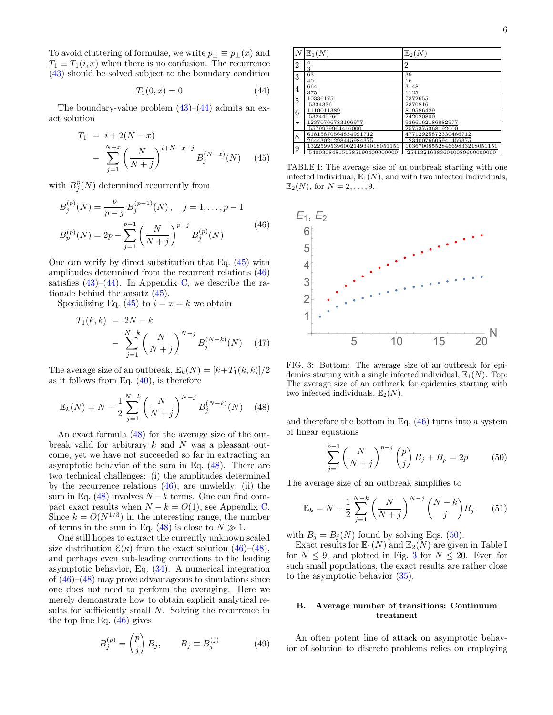To avoid cluttering of formulae, we write  $p_{\pm} \equiv p_{\pm}(x)$  and  $T_1 \equiv T_1(i, x)$  when there is no confusion. The recurrence [\(43\)](#page-4-10) should be solved subject to the boundary condition

<span id="page-5-0"></span>
$$
T_1(0, x) = 0 \t\t(44)
$$

The boundary-value problem  $(43)$ – $(44)$  admits an exact solution

<span id="page-5-1"></span>
$$
T_1 = i + 2(N - x)
$$
  
- 
$$
\sum_{j=1}^{N-x} \left(\frac{N}{N+j}\right)^{i+N-x-j} B_j^{(N-x)}(N) \quad (45)
$$

with  $B_j^p(N)$  determined recurrently from

<span id="page-5-2"></span>
$$
B_j^{(p)}(N) = \frac{p}{p-j} B_j^{(p-1)}(N), \quad j = 1, ..., p-1
$$
  

$$
B_p^{(p)}(N) = 2p - \sum_{j=1}^{p-1} \left(\frac{N}{N+j}\right)^{p-j} B_j^{(p)}(N)
$$
 (46)

One can verify by direct substitution that Eq. [\(45\)](#page-5-1) with amplitudes determined from the recurrent relations [\(46\)](#page-5-2) satisfies  $(43)$ – $(44)$ . In Appendix [C,](#page-10-0) we describe the rationale behind the ansatz [\(45\)](#page-5-1).

Specializing Eq. [\(45\)](#page-5-1) to  $i = x = k$  we obtain

<span id="page-5-6"></span>
$$
T_1(k,k) = 2N - k
$$
  
- 
$$
\sum_{j=1}^{N-k} \left(\frac{N}{N+j}\right)^{N-j} B_j^{(N-k)}(N) \quad (47)
$$

The average size of an outbreak,  $\mathbb{E}_k(N) = [k+T_1(k, k)]/2$ as it follows from Eq.  $(40)$ , is therefore

<span id="page-5-3"></span>
$$
\mathbb{E}_k(N) = N - \frac{1}{2} \sum_{j=1}^{N-k} \left( \frac{N}{N+j} \right)^{N-j} B_j^{(N-k)}(N) \quad (48)
$$

An exact formula [\(48\)](#page-5-3) for the average size of the outbreak valid for arbitrary  $k$  and  $N$  was a pleasant outcome, yet we have not succeeded so far in extracting an asymptotic behavior of the sum in Eq. [\(48\)](#page-5-3). There are two technical challenges: (i) the amplitudes determined by the recurrence relations  $(46)$ , are unwieldy; (ii) the sum in Eq. [\(48\)](#page-5-3) involves  $N - k$  terms. One can find compact exact results when  $N - k = O(1)$ , see Appendix [C.](#page-10-0) Since  $k = O(N^{1/3})$  in the interesting range, the number of terms in the sum in Eq. [\(48\)](#page-5-3) is close to  $N \gg 1$ .

One still hopes to extract the currently unknown scaled size distribution  $\mathcal{E}(\kappa)$  from the exact solution [\(46\)](#page-5-2)–[\(48\)](#page-5-3), and perhaps even sub-leading corrections to the leading asymptotic behavior, Eq. [\(34\)](#page-4-2). A numerical integration of  $(46)$ – $(48)$  may prove advantageous to simulations since one does not need to perform the averaging. Here we merely demonstrate how to obtain explicit analytical results for sufficiently small  $N$ . Solving the recurrence in the top line Eq. [\(46\)](#page-5-2) gives

$$
B_j^{(p)} = \begin{pmatrix} p \\ j \end{pmatrix} B_j, \qquad B_j \equiv B_j^{(j)} \tag{49}
$$

| $\boldsymbol{N}$ | $\mathbb{E}_1(N)$                                           | $\mathbb{E}_2(N)$                                           |
|------------------|-------------------------------------------------------------|-------------------------------------------------------------|
| 2                | $\frac{4}{3}$                                               | 2                                                           |
| 3                | 63<br>$\overline{40}$                                       | $\frac{39}{2}$<br>$\overline{16}$                           |
| 4                | 664<br>375                                                  | 3148<br>1125                                                |
| 5                | 10336175<br>5334336                                         | 7372655<br>2370816                                          |
| 6                | 1110011389<br>532445760                                     | 819586429<br>242020800                                      |
|                  | 12370766783106977<br>5579979964416000                       | 9366162186882977<br>2575375368192000                        |
| 8                | 61815870564834991712<br>26443021298445984375                | 47712925872330466712<br>12340076605941459375                |
| 9                | 1322599539600214934018051151<br>540030848151585190400000000 | 1036700855284669833218051151<br>254132163836040089600000000 |

TABLE I: The average size of an outbreak starting with one infected individual,  $\mathbb{E}_1(N)$ , and with two infected individuals,  $\mathbb{E}_2(N)$ , for  $N = 2, ..., 9$ .



<span id="page-5-5"></span>FIG. 3: Bottom: The average size of an outbreak for epidemics starting with a single infected individual,  $\mathbb{E}_1(N)$ . Top: The average size of an outbreak for epidemics starting with two infected individuals,  $\mathbb{E}_2(N)$ .

and therefore the bottom in Eq. [\(46\)](#page-5-2) turns into a system of linear equations

<span id="page-5-4"></span>
$$
\sum_{j=1}^{p-1} \left( \frac{N}{N+j} \right)^{p-j} {p \choose j} B_j + B_p = 2p \tag{50}
$$

The average size of an outbreak simplifies to

$$
\mathbb{E}_k = N - \frac{1}{2} \sum_{j=1}^{N-k} \left( \frac{N}{N+j} \right)^{N-j} {N-k \choose j} B_j \qquad (51)
$$

with  $B_j = B_j(N)$  found by solving Eqs. [\(50\)](#page-5-4).

Exact results for  $\mathbb{E}_1(N)$  and  $\mathbb{E}_2(N)$  are given in Table I for  $N \leq 9$ , and plotted in Fig. [3](#page-5-5) for  $N \leq 20$ . Even for such small populations, the exact results are rather close to the asymptotic behavior [\(35\)](#page-4-3).

## B. Average number of transitions: Continuum treatment

An often potent line of attack on asymptotic behavior of solution to discrete problems relies on employing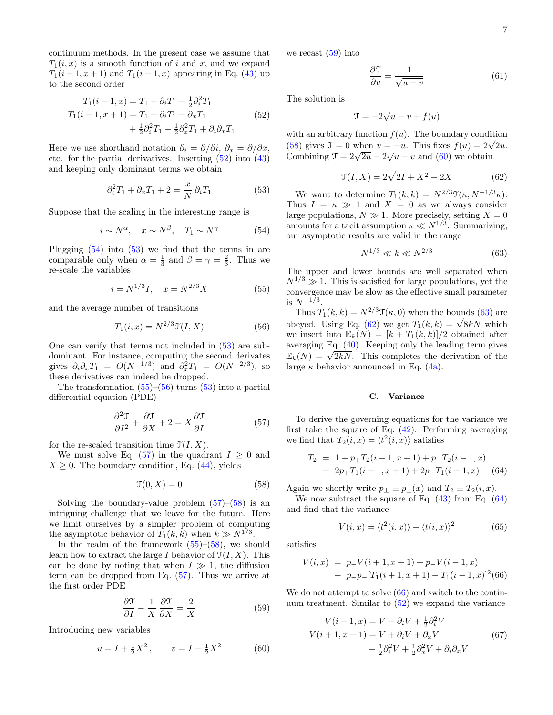continuum methods. In the present case we assume that  $T_1(i, x)$  is a smooth function of i and x, and we expand  $T_1(i+1, x+1)$  and  $T_1(i-1, x)$  appearing in Eq. [\(43\)](#page-4-10) up to the second order

<span id="page-6-0"></span>
$$
T_1(i-1, x) = T_1 - \partial_i T_1 + \frac{1}{2} \partial_i^2 T_1
$$
  
\n
$$
T_1(i+1, x+1) = T_1 + \partial_i T_1 + \partial_x T_1
$$
  
\n
$$
+ \frac{1}{2} \partial_i^2 T_1 + \frac{1}{2} \partial_x^2 T_1 + \partial_i \partial_x T_1
$$
\n(52)

Here we use shorthand notation  $\partial_i = \partial/\partial i$ ,  $\partial_x = \partial/\partial x$ , etc. for the partial derivatives. Inserting [\(52\)](#page-6-0) into [\(43\)](#page-4-10) and keeping only dominant terms we obtain

<span id="page-6-2"></span>
$$
\partial_i^2 T_1 + \partial_x T_1 + 2 = \frac{x}{N} \partial_i T_1 \tag{53}
$$

Suppose that the scaling in the interesting range is

<span id="page-6-1"></span>
$$
i \sim N^{\alpha}, \quad x \sim N^{\beta}, \quad T_1 \sim N^{\gamma} \tag{54}
$$

Plugging  $(54)$  into  $(53)$  we find that the terms in are comparable only when  $\alpha = \frac{1}{3}$  and  $\beta = \gamma = \frac{2}{3}$ . Thus we re-scale the variables

<span id="page-6-3"></span>
$$
i = N^{1/3}I, \quad x = N^{2/3}X \tag{55}
$$

and the average number of transitions

<span id="page-6-4"></span>
$$
T_1(i, x) = N^{2/3} \mathcal{T}(I, X)
$$
 (56)

One can verify that terms not included in [\(53\)](#page-6-2) are subdominant. For instance, computing the second derivates gives  $\partial_i \partial_x T_1 = O(N^{-1/3})$  and  $\partial_x^2 T_1 = O(N^{-2/3})$ , so these derivatives can indeed be dropped.

The transformation  $(55)$ – $(56)$  turns  $(53)$  into a partial differential equation (PDE)

<span id="page-6-5"></span>
$$
\frac{\partial^2 \mathfrak{T}}{\partial I^2} + \frac{\partial \mathfrak{T}}{\partial X} + 2 = X \frac{\partial \mathfrak{T}}{\partial I}
$$
 (57)

for the re-scaled transition time  $\mathcal{T}(I, X)$ .

We must solve Eq. [\(57\)](#page-6-5) in the quadrant  $I \geq 0$  and  $X \geq 0$ . The boundary condition, Eq. [\(44\)](#page-5-0), yields

<span id="page-6-6"></span>
$$
\mathfrak{T}(0, X) = 0 \tag{58}
$$

Solving the boundary-value problem  $(57)$ – $(58)$  is an intriguing challenge that we leave for the future. Here we limit ourselves by a simpler problem of computing the asymptotic behavior of  $T_1(k, k)$  when  $k \gg N^{1/3}$ .

In the realm of the framework  $(55)$ – $(58)$ , we should learn how to extract the large I behavior of  $\mathfrak{T}(I, X)$ . This can be done by noting that when  $I \gg 1$ , the diffusion term can be dropped from Eq. [\(57\)](#page-6-5). Thus we arrive at the first order PDE

<span id="page-6-7"></span>
$$
\frac{\partial \mathcal{T}}{\partial I} - \frac{1}{X} \frac{\partial \mathcal{T}}{\partial X} = \frac{2}{X}
$$
 (59)

Introducing new variables

<span id="page-6-8"></span>
$$
u = I + \frac{1}{2}X^2, \qquad v = I - \frac{1}{2}X^2 \tag{60}
$$

we recast  $(59)$  into

$$
\frac{\partial \mathcal{T}}{\partial v} = \frac{1}{\sqrt{u - v}}\tag{61}
$$

The solution is

$$
\mathfrak{T} = -2\sqrt{u - v} + f(u)
$$

with an arbitrary function  $f(u)$ . The boundary condition with an arbitrary function  $f(u)$ . The boundary condition<br>[\(58\)](#page-6-6) gives  $\mathcal{T} = 0$  when  $v = -u$ . This fixes  $f(u) = 2\sqrt{2u}$ . (58) gives  $\tau = 0$  when  $v = -u$ . This likes  $f(u) = 2\sqrt{2u}$ <br>Combining  $\mathcal{T} = 2\sqrt{2u} - 2\sqrt{u - v}$  and [\(60\)](#page-6-8) we obtain

<span id="page-6-10"></span>
$$
\mathfrak{T}(I, X) = 2\sqrt{2I + X^2} - 2X\tag{62}
$$

We want to determine  $T_1(k, k) = N^{2/3} \mathcal{T}(\kappa, N^{-1/3} \kappa)$ . Thus  $I = \kappa \gg 1$  and  $X = 0$  as we always consider large populations,  $N \gg 1$ . More precisely, setting  $X = 0$ amounts for a tacit assumption  $\kappa \ll N^{1/3}$ . Summarizing, our asymptotic results are valid in the range

<span id="page-6-9"></span>
$$
N^{1/3} \ll k \ll N^{2/3} \tag{63}
$$

The upper and lower bounds are well separated when  $N^{1/3} \gg 1$ . This is satisfied for large populations, yet the convergence may be slow as the effective small parameter is  $N^{-1/3}$ .

Thus  $T_1(k, k) = N^{2/3} \mathcal{T}(\kappa, 0)$  when the bounds [\(63\)](#page-6-9) are Thus  $I_1(k, k) = N^{-\gamma} J(k, 0)$  when the bounds (65) are<br>obeyed. Using Eq. [\(62\)](#page-6-10) we get  $T_1(k, k) = \sqrt{8kN}$  which we insert into  $\mathbb{E}_k(N) = [k + T_1(k, k)]/2$  obtained after averaging Eq. [\(40\)](#page-4-11). Keeping only the leading term gives averaging Eq. (40). Reeping only the leading term gives  $\mathbb{E}_k(N) = \sqrt{2kN}$ . This completes the derivation of the large  $\kappa$  behavior announced in Eq. [\(4a\)](#page-1-1).

#### C. Variance

To derive the governing equations for the variance we first take the square of Eq.  $(42)$ . Performing averaging we find that  $T_2(i, x) = \langle t^2(i, x) \rangle$  satisfies

<span id="page-6-11"></span>
$$
T_2 = 1 + p_+ T_2(i+1, x+1) + p_- T_2(i-1, x)
$$
  
+ 2p\_+ T\_1(i+1, x+1) + 2p\_- T\_1(i-1, x) (64)

Again we shortly write  $p_{\pm} \equiv p_{\pm}(x)$  and  $T_2 \equiv T_2(i, x)$ .

We now subtract the square of Eq.  $(43)$  from Eq.  $(64)$ and find that the variance

$$
V(i, x) = \langle t^2(i, x) \rangle - \langle t(i, x) \rangle^2 \tag{65}
$$

satisfies

<span id="page-6-12"></span>
$$
V(i,x) = p_{+}V(i+1,x+1) + p_{-}V(i-1,x)
$$
  
+  $p_{+}p_{-}[T_1(i+1,x+1) - T_1(i-1,x)]^2(66)$ 

We do not attempt to solve  $(66)$  and switch to the continuum treatment. Similar to [\(52\)](#page-6-0) we expand the variance

<span id="page-6-13"></span>
$$
V(i-1, x) = V - \partial_i V + \frac{1}{2} \partial_i^2 V
$$
  
\n
$$
V(i+1, x+1) = V + \partial_i V + \partial_x V
$$
  
\n
$$
+ \frac{1}{2} \partial_i^2 V + \frac{1}{2} \partial_x^2 V + \partial_i \partial_x V
$$
\n(67)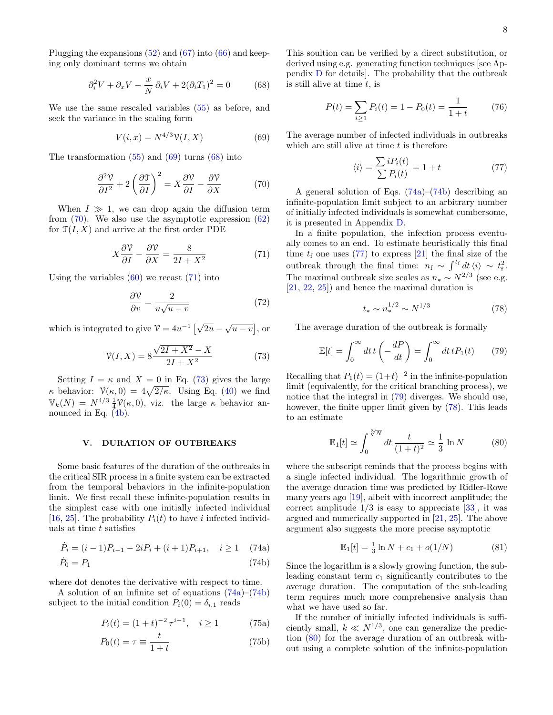Plugging the expansions [\(52\)](#page-6-0) and [\(67\)](#page-6-13) into [\(66\)](#page-6-12) and keeping only dominant terms we obtain

<span id="page-7-2"></span>
$$
\partial_i^2 V + \partial_x V - \frac{x}{N} \partial_i V + 2(\partial_i T_1)^2 = 0 \tag{68}
$$

We use the same rescaled variables [\(55\)](#page-6-3) as before, and seek the variance in the scaling form

<span id="page-7-1"></span>
$$
V(i,x) = N^{4/3} \mathcal{V}(I,X) \tag{69}
$$

The transformation  $(55)$  and  $(69)$  turns  $(68)$  into

<span id="page-7-3"></span>
$$
\frac{\partial^2 \mathcal{V}}{\partial I^2} + 2\left(\frac{\partial \mathcal{T}}{\partial I}\right)^2 = X\frac{\partial \mathcal{V}}{\partial I} - \frac{\partial \mathcal{V}}{\partial X} \tag{70}
$$

When  $I \gg 1$ , we can drop again the diffusion term from  $(70)$ . We also use the asymptotic expression  $(62)$ for  $\mathfrak{T}(I, X)$  and arrive at the first order PDE

<span id="page-7-4"></span>
$$
X\frac{\partial V}{\partial I} - \frac{\partial V}{\partial X} = \frac{8}{2I + X^2} \tag{71}
$$

Using the variables  $(60)$  we recast  $(71)$  into

$$
\frac{\partial \mathcal{V}}{\partial v} = \frac{2}{u\sqrt{u-v}}\tag{72}
$$

which is integrated to give  $\mathcal{V} = 4u^{-1} \left[ \sqrt{\frac{2}{3}} \right]$  $\overline{2u} - \sqrt{u-v}$ , or

<span id="page-7-5"></span>
$$
\mathcal{V}(I, X) = 8\frac{\sqrt{2I + X^2} - X}{2I + X^2}
$$
 (73)

Setting  $I = \kappa$  and  $X = 0$  in Eq. [\(73\)](#page-7-5) gives the large  $\kappa$  behavior:  $\mathcal{V}(\kappa, 0) = 4\sqrt{2/\kappa}$ . Using Eq. [\(40\)](#page-4-11) we find  $\mathbb{V}_k(N) = N^{4/3} \frac{1}{4} \mathcal{V}(\kappa, 0)$ , viz. the large  $\kappa$  behavior announced in Eq.  $(4b)$ .

### <span id="page-7-0"></span>V. DURATION OF OUTBREAKS

Some basic features of the duration of the outbreaks in the critical SIR process in a finite system can be extracted from the temporal behaviors in the infinite-population limit. We first recall these infinite-population results in the simplest case with one initially infected individual [\[16,](#page-9-19) [25\]](#page-9-6). The probability  $P_i(t)$  to have i infected individuals at time t satisfies

$$
\dot{P}_i = (i-1)P_{i-1} - 2iP_i + (i+1)P_{i+1}, \quad i \ge 1 \quad (74a)
$$

$$
\dot{P}_0 = P_1 \tag{74b}
$$

where dot denotes the derivative with respect to time.

A solution of an infinite set of equations [\(74a\)](#page-7-6)–[\(74b\)](#page-7-7) subject to the initial condition  $P_i(0) = \delta_{i,1}$  reads

$$
P_i(t) = (1+t)^{-2} \tau^{i-1}, \quad i \ge 1
$$
 (75a)

$$
P_0(t) = \tau \equiv \frac{t}{1+t} \tag{75b}
$$

This soultion can be verified by a direct substitution, or derived using e.g. generating function techniques [see Appendix [D](#page-11-0) for details]. The probability that the outbreak is still alive at time  $t$ , is

$$
P(t) = \sum_{i \ge 1} P_i(t) = 1 - P_0(t) = \frac{1}{1+t}
$$
 (76)

The average number of infected individuals in outbreaks which are still alive at time  $t$  is therefore

<span id="page-7-8"></span>
$$
\langle i \rangle = \frac{\sum i P_i(t)}{\sum P_i(t)} = 1 + t \tag{77}
$$

A general solution of Eqs.  $(74a)$ – $(74b)$  describing an infinite-population limit subject to an arbitrary number of initially infected individuals is somewhat cumbersome, it is presented in Appendix [D.](#page-11-0)

In a finite population, the infection process eventually comes to an end. To estimate heuristically this final time  $t_f$  one uses [\(77\)](#page-7-8) to express [\[21\]](#page-9-14) the final size of the outbreak through the final time:  $n_f \sim \int^{t_f} dt \langle i \rangle \sim t_f^2$ . The maximal outbreak size scales as  $n_* \sim N^{2/3}$  (see e.g. [\[21,](#page-9-14) [22,](#page-9-15) [25\]](#page-9-6)) and hence the maximal duration is

<span id="page-7-10"></span>
$$
t_* \sim n_*^{1/2} \sim N^{1/3} \tag{78}
$$

The average duration of the outbreak is formally

<span id="page-7-9"></span>
$$
\mathbb{E}[t] = \int_0^\infty dt \, t \left(-\frac{dP}{dt}\right) = \int_0^\infty dt \, t P_1(t) \tag{79}
$$

Recalling that  $P_1(t) = (1+t)^{-2}$  in the infinite-population limit (equivalently, for the critical branching process), we notice that the integral in [\(79\)](#page-7-9) diverges. We should use, however, the finite upper limit given by  $(78)$ . This leads to an estimate

<span id="page-7-11"></span>
$$
\mathbb{E}_1[t] \simeq \int_0^{\sqrt[3]{N}} dt \, \frac{t}{(1+t)^2} \simeq \frac{1}{3} \ln N \tag{80}
$$

where the subscript reminds that the process begins with a single infected individual. The logarithmic growth of the average duration time was predicted by Ridler-Rowe many years ago [\[19\]](#page-9-5), albeit with incorrect amplitude; the correct amplitude  $1/3$  is easy to appreciate  $[33]$ , it was argued and numerically supported in [\[21,](#page-9-14) [25\]](#page-9-6). The above argument also suggests the more precise asymptotic

$$
\mathbb{E}_1[t] = \frac{1}{3}\ln N + c_1 + o(1/N) \tag{81}
$$

<span id="page-7-7"></span><span id="page-7-6"></span>Since the logarithm is a slowly growing function, the subleading constant term  $c_1$  significantly contributes to the average duration. The computation of the sub-leading term requires much more comprehensive analysis than what we have used so far.

<span id="page-7-13"></span><span id="page-7-12"></span>If the number of initially infected individuals is sufficiently small,  $k \ll N^{1/3}$ , one can generalize the prediction [\(80\)](#page-7-11) for the average duration of an outbreak without using a complete solution of the infinite-population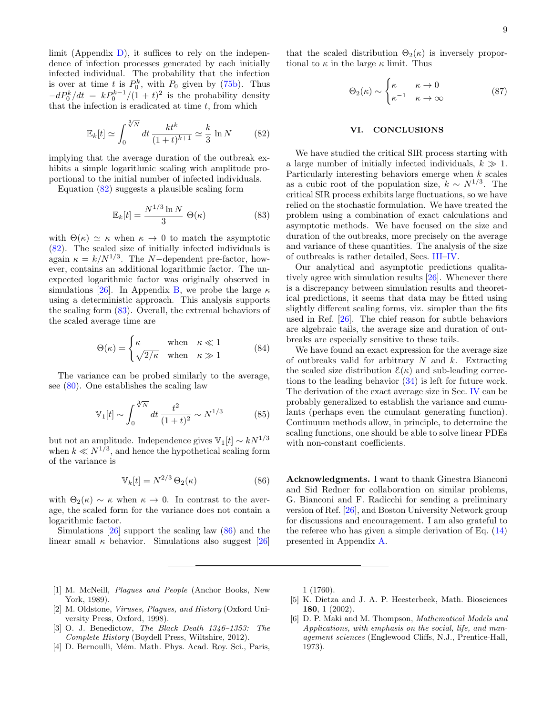limit (Appendix  $D$ ), it suffices to rely on the independence of infection processes generated by each initially infected individual. The probability that the infection is over at time t is  $P_0^k$ , with  $P_0$  given by [\(75b\)](#page-7-12). Thus  $-dP_0^k/dt = kP_0^{k-1}/(1+t)^2$  is the probability density that the infection is eradicated at time  $t$ , from which

<span id="page-8-5"></span>
$$
\mathbb{E}_k[t] \simeq \int_0^{\sqrt[3]{N}} dt \, \frac{kt^k}{(1+t)^{k+1}} \simeq \frac{k}{3} \ln N \qquad (82)
$$

implying that the average duration of the outbreak exhibits a simple logarithmic scaling with amplitude proportional to the initial number of infected individuals.

Equation [\(82\)](#page-8-5) suggests a plausible scaling form

<span id="page-8-6"></span>
$$
\mathbb{E}_k[t] = \frac{N^{1/3} \ln N}{3} \Theta(\kappa) \tag{83}
$$

with  $\Theta(\kappa) \simeq \kappa$  when  $\kappa \to 0$  to match the asymptotic [\(82\)](#page-8-5). The scaled size of initially infected individuals is again  $\kappa = k/N^{1/3}$ . The N-dependent pre-factor, however, contains an additional logarithmic factor. The unexpected logarithmic factor was originally observed in simulations [\[26\]](#page-9-7). In Appendix [B,](#page-9-18) we probe the large  $\kappa$ using a deterministic approach. This analysis supports the scaling form [\(83\)](#page-8-6). Overall, the extremal behaviors of the scaled average time are

<span id="page-8-8"></span>
$$
\Theta(\kappa) = \begin{cases} \kappa & \text{when } \kappa \ll 1 \\ \sqrt{2/\kappa} & \text{when } \kappa \gg 1 \end{cases}
$$
 (84)

The variance can be probed similarly to the average, see [\(80\)](#page-7-11). One establishes the scaling law

$$
\mathbb{V}_1[t] \sim \int_0^{\sqrt[3]{N}} dt \, \frac{t^2}{(1+t)^2} \sim N^{1/3} \tag{85}
$$

but not an amplitude. Independence gives  $\mathbb{V}_1[t] \sim kN^{1/3}$ when  $k \ll N^{1/3}$ , and hence the hypothetical scaling form of the variance is

<span id="page-8-7"></span>
$$
\mathbb{V}_k[t] = N^{2/3} \,\Theta_2(\kappa) \tag{86}
$$

with  $\Theta_2(\kappa) \sim \kappa$  when  $\kappa \to 0$ . In contrast to the average, the scaled form for the variance does not contain a logarithmic factor.

Simulations [\[26\]](#page-9-7) support the scaling law [\(86\)](#page-8-7) and the linear small  $\kappa$  behavior. Simulations also suggest [\[26\]](#page-9-7)

that the scaled distribution  $\Theta_2(\kappa)$  is inversely proportional to  $\kappa$  in the large  $\kappa$  limit. Thus

$$
\Theta_2(\kappa) \sim \begin{cases} \kappa & \kappa \to 0 \\ \kappa^{-1} & \kappa \to \infty \end{cases}
$$
 (87)

#### VI. CONCLUSIONS

We have studied the critical SIR process starting with a large number of initially infected individuals,  $k \gg 1$ . Particularly interesting behaviors emerge when  $k$  scales as a cubic root of the population size,  $k \sim N^{1/3}$ . The critical SIR process exhibits large fluctuations, so we have relied on the stochastic formulation. We have treated the problem using a combination of exact calculations and asymptotic methods. We have focused on the size and duration of the outbreaks, more precisely on the average and variance of these quantities. The analysis of the size of outbreaks is rather detailed, Secs. [III](#page-3-0)[–IV.](#page-4-0)

Our analytical and asymptotic predictions qualitatively agree with simulation results [\[26\]](#page-9-7). Whenever there is a discrepancy between simulation results and theoretical predictions, it seems that data may be fitted using slightly different scaling forms, viz. simpler than the fits used in Ref. [\[26\]](#page-9-7). The chief reason for subtle behaviors are algebraic tails, the average size and duration of outbreaks are especially sensitive to these tails.

We have found an exact expression for the average size of outbreaks valid for arbitrary  $N$  and  $k$ . Extracting the scaled size distribution  $\mathcal{E}(\kappa)$  and sub-leading corrections to the leading behavior [\(34\)](#page-4-2) is left for future work. The derivation of the exact average size in Sec. [IV](#page-4-0) can be probably generalized to establish the variance and cumulants (perhaps even the cumulant generating function). Continuum methods allow, in principle, to determine the scaling functions, one should be able to solve linear PDEs with non-constant coefficients.

Acknowledgments. I want to thank Ginestra Bianconi and Sid Redner for collaboration on similar problems, G. Bianconi and F. Radicchi for sending a preliminary version of Ref. [\[26\]](#page-9-7), and Boston University Network group for discussions and encouragement. I am also grateful to the referee who has given a simple derivation of Eq.  $(14)$ presented in Appendix [A.](#page-9-8)

- <span id="page-8-0"></span>[1] M. McNeill, Plagues and People (Anchor Books, New York, 1989).
- [2] M. Oldstone, Viruses, Plagues, and History (Oxford University Press, Oxford, 1998).
- <span id="page-8-1"></span>[3] O. J. Benedictow, The Black Death 1346–1353: The Complete History (Boydell Press, Wiltshire, 2012).
- <span id="page-8-2"></span>[4] D. Bernoulli, Mém. Math. Phys. Acad. Roy. Sci., Paris,

1 (1760).

- <span id="page-8-3"></span>[5] K. Dietza and J. A. P. Heesterbeek, Math. Biosciences 180, 1 (2002).
- <span id="page-8-4"></span>[6] D. P. Maki and M. Thompson, Mathematical Models and Applications, with emphasis on the social, life, and management sciences (Englewood Cliffs, N.J., Prentice-Hall, 1973).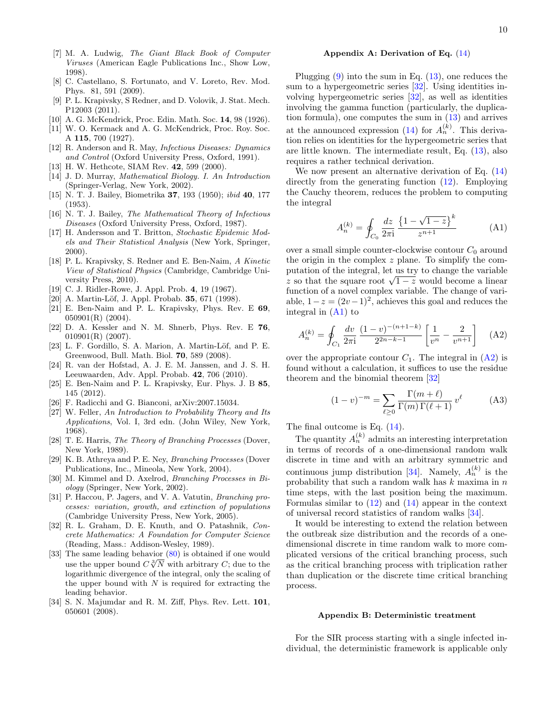- [7] M. A. Ludwig, The Giant Black Book of Computer Viruses (American Eagle Publications Inc., Show Low, 1998).
- [8] C. Castellano, S. Fortunato, and V. Loreto, Rev. Mod. Phys. 81, 591 (2009).
- <span id="page-9-0"></span>[9] P. L. Krapivsky, S Redner, and D. Volovik, J. Stat. Mech. P12003 (2011).
- <span id="page-9-1"></span>[10] A. G. McKendrick, Proc. Edin. Math. Soc. 14, 98 (1926).
- [11] W. O. Kermack and A. G. McKendrick, Proc. Roy. Soc. A 115, 700 (1927).
- [12] R. Anderson and R. May, Infectious Diseases: Dynamics and Control (Oxford University Press, Oxford, 1991).
- [13] H. W. Hethcote, SIAM Rev. **42**, 599 (2000).
- <span id="page-9-2"></span>[14] J. D. Murray, Mathematical Biology. I. An Introduction (Springer-Verlag, New York, 2002).
- <span id="page-9-3"></span>[15] N. T. J. Bailey, Biometrika 37, 193 (1950); ibid 40, 177 (1953).
- <span id="page-9-19"></span>[16] N. T. J. Bailey, The Mathematical Theory of Infectious Diseases (Oxford University Press, Oxford, 1987).
- [17] H. Andersson and T. Britton, Stochastic Epidemic Models and Their Statistical Analysis (New York, Springer, 2000).
- <span id="page-9-4"></span>[18] P. L. Krapivsky, S. Redner and E. Ben-Naim, A Kinetic View of Statistical Physics (Cambridge, Cambridge University Press, 2010).
- <span id="page-9-5"></span>[19] C. J. Ridler-Rowe, J. Appl. Prob. 4, 19 (1967).
- <span id="page-9-13"></span>[20] A. Martin-Löf, J. Appl. Probab. 35, 671 (1998).
- <span id="page-9-14"></span>[21] E. Ben-Naim and P. L. Krapivsky, Phys. Rev. E 69, 050901(R) (2004).
- <span id="page-9-15"></span>[22] D. A. Kessler and N. M. Shnerb, Phys. Rev. E 76, 010901(R) (2007).
- <span id="page-9-16"></span>[23] L. F. Gordillo, S. A. Marion, A. Martin-Löf, and P. E. Greenwood, Bull. Math. Biol. 70, 589 (2008).
- <span id="page-9-17"></span>[24] R. van der Hofstad, A. J. E. M. Janssen, and J. S. H. Leeuwaarden, Adv. Appl. Probab. 42, 706 (2010).
- <span id="page-9-6"></span>[25] E. Ben-Naim and P. L. Krapivsky, Eur. Phys. J. B 85, 145 (2012).
- <span id="page-9-7"></span>[26] F. Radicchi and G. Bianconi, arXiv:2007.15034.
- <span id="page-9-9"></span>[27] W. Feller, An Introduction to Probability Theory and Its Applications, Vol. I, 3rd edn. (John Wiley, New York, 1968).
- <span id="page-9-11"></span>[28] T. E. Harris, The Theory of Branching Processes (Dover, New York, 1989).
- [29] K. B. Athreya and P. E. Ney, Branching Processes (Dover Publications, Inc., Mineola, New York, 2004).
- [30] M. Kimmel and D. Axelrod, Branching Processes in Biology (Springer, New York, 2002).
- <span id="page-9-10"></span>[31] P. Haccou, P. Jagers, and V. A. Vatutin, *Branching pro*cesses: variation, growth, and extinction of populations (Cambridge University Press, New York, 2005).
- <span id="page-9-12"></span>[32] R. L. Graham, D. E. Knuth, and O. Patashnik, Concrete Mathematics: A Foundation for Computer Science (Reading, Mass.: Addison-Wesley, 1989).
- <span id="page-9-20"></span>[33] The same leading behavior  $(80)$  is obtained if one would The same reading behavior ( $\frac{\partial v}{\partial N}$  with arbitrary C; due to the logarithmic divergence of the integral, only the scaling of the upper bound with  $N$  is required for extracting the leading behavior.
- <span id="page-9-23"></span>[34] S. N. Majumdar and R. M. Ziff, Phys. Rev. Lett. **101**, 050601 (2008).

#### <span id="page-9-8"></span>Appendix A: Derivation of Eq. [\(14\)](#page-2-1)

Plugging  $(9)$  into the sum in Eq.  $(13)$ , one reduces the sum to a hypergeometric series [\[32\]](#page-9-12). Using identities involving hypergeometric series [\[32\]](#page-9-12), as well as identities involving the gamma function (particularly, the duplication formula), one computes the sum in  $(13)$  and arrives at the announced expression [\(14\)](#page-2-1) for  $A_n^{(k)}$ . This derivation relies on identities for the hypergeometric series that are little known. The intermediate result, Eq. [\(13\)](#page-2-0), also requires a rather technical derivation.

We now present an alternative derivation of Eq. [\(14\)](#page-2-1) directly from the generating function [\(12\)](#page-2-2). Employing the Cauchy theorem, reduces the problem to computing the integral

<span id="page-9-21"></span>
$$
A_n^{(k)} = \oint_{C_0} \frac{dz}{2\pi i} \frac{\left\{1 - \sqrt{1 - z}\right\}^k}{z^{n+1}} \tag{A1}
$$

over a small simple counter-clockwise contour  $C_0$  around the origin in the complex z plane. To simplify the computation of the integral, let us try to change the variable putation of the integral, let us try to change the variable z so that the square root  $\sqrt{1-z}$  would become a linear function of a novel complex variable. The change of variable,  $1-z = (2v-1)^2$ , achieves this goal and reduces the integral in  $(A1)$  to

<span id="page-9-22"></span>
$$
A_n^{(k)} = \oint_{C_1} \frac{dv}{2\pi i} \frac{(1-v)^{-(n+1-k)}}{2^{2n-k-1}} \left[ \frac{1}{v^n} - \frac{2}{v^{n+1}} \right] \quad (A2)
$$

over the appropriate contour  $C_1$ . The integral in  $(A2)$  is found without a calculation, it suffices to use the residue theorem and the binomial theorem [\[32\]](#page-9-12)

$$
(1-v)^{-m} = \sum_{\ell \ge 0} \frac{\Gamma(m+\ell)}{\Gamma(m)\Gamma(\ell+1)} v^{\ell} \tag{A3}
$$

The final outcome is Eq.  $(14)$ .

The quantity  $A_n^{(k)}$  admits an interesting interpretation in terms of records of a one-dimensional random walk discrete in time and with an arbitrary symmetric and continuous jump distribution [\[34\]](#page-9-23). Namely,  $A_n^{(k)}$  is the probability that such a random walk has  $k$  maxima in  $n$ time steps, with the last position being the maximum. Formulas similar to  $(12)$  and  $(14)$  appear in the context of universal record statistics of random walks [\[34\]](#page-9-23).

It would be interesting to extend the relation between the outbreak size distribution and the records of a onedimensional discrete in time random walk to more complicated versions of the critical branching process, such as the critical branching process with triplication rather than duplication or the discrete time critical branching process.

#### <span id="page-9-18"></span>Appendix B: Deterministic treatment

For the SIR process starting with a single infected individual, the deterministic framework is applicable only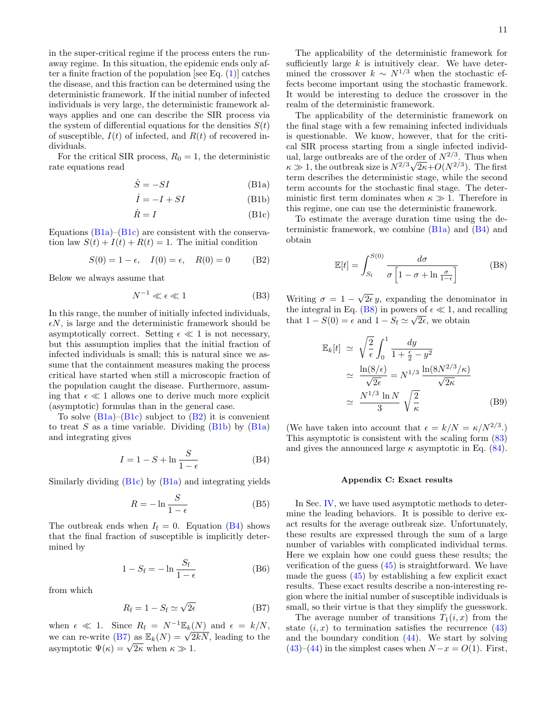in the super-critical regime if the process enters the runaway regime. In this situation, the epidemic ends only after a finite fraction of the population [see Eq.  $(1)$ ] catches the disease, and this fraction can be determined using the deterministic framework. If the initial number of infected individuals is very large, the deterministic framework always applies and one can describe the SIR process via the system of differential equations for the densities  $S(t)$ of susceptible,  $I(t)$  of infected, and  $R(t)$  of recovered individuals.

For the critical SIR process,  $R_0 = 1$ , the deterministic rate equations read

$$
\dot{S} = -SI \tag{B1a}
$$

$$
\dot{I} = -I + SI \tag{B1b}
$$

$$
\dot{R} = I \tag{B1c}
$$

Equations  $(B1a)$ – $(B1c)$  are consistent with the conservation law  $S(t) + I(t) + R(t) = 1$ . The initial condition

<span id="page-10-3"></span>
$$
S(0) = 1 - \epsilon
$$
,  $I(0) = \epsilon$ ,  $R(0) = 0$  (B2)

Below we always assume that

$$
N^{-1} \ll \epsilon \ll 1\tag{B3}
$$

In this range, the number of initially infected individuals,  $\epsilon N$ , is large and the deterministic framework should be asymptotically correct. Setting  $\epsilon \ll 1$  is not necessary, but this assumption implies that the initial fraction of infected individuals is small; this is natural since we assume that the containment measures making the process critical have started when still a microscopic fraction of the population caught the disease. Furthermore, assuming that  $\epsilon \ll 1$  allows one to derive much more explicit (asymptotic) formulas than in the general case.

To solve  $(B1a)$ – $(B1c)$  subject to  $(B2)$  it is convenient to treat S as a time variable. Dividing  $(B1b)$  by  $(B1a)$ and integrating gives

<span id="page-10-5"></span>
$$
I = 1 - S + \ln \frac{S}{1 - \epsilon}
$$
 (B4)

Similarly dividing [\(B1c\)](#page-10-2) by [\(B1a\)](#page-10-1) and integrating yields

$$
R = -\ln\frac{S}{1 - \epsilon} \tag{B5}
$$

The outbreak ends when  $I_f = 0$ . Equation [\(B4\)](#page-10-5) shows that the final fraction of susceptible is implicitly determined by

$$
1 - S_{\rm f} = -\ln \frac{S_{\rm f}}{1 - \epsilon} \tag{B6}
$$

from which

<span id="page-10-6"></span>
$$
R_{\rm f} = 1 - S_{\rm f} \simeq \sqrt{2\epsilon} \tag{B7}
$$

when  $\epsilon \ll 1$ . Since  $R_f = N^{-1} \mathbb{E}_k(N)$  and  $\epsilon = k/N$ , when  $\epsilon \ll 1$ . Since  $n_f = N \log(N)$  and  $\epsilon = \kappa/N$ ,<br>we can re-write [\(B7\)](#page-10-6) as  $\mathbb{E}_k(N) = \sqrt{2kN}$ , leading to the we can re-write ( $\mathbf{b}$ *i*) as  $\mathbb{E}_k(Y) = \sqrt{2}$ <br>asymptotic  $\Psi(\kappa) = \sqrt{2\kappa}$  when  $\kappa \gg 1$ .

The applicability of the deterministic framework for sufficiently large  $k$  is intuitively clear. We have determined the crossover  $k \sim N^{1/3}$  when the stochastic effects become important using the stochastic framework. It would be interesting to deduce the crossover in the realm of the deterministic framework.

The applicability of the deterministic framework on the final stage with a few remaining infected individuals is questionable. We know, however, that for the critical SIR process starting from a single infected individual, large outbreaks are of the order of  $N^{2/3}$ . Thus when  $\kappa \gg 1$ , the outbreak size is  $N^{2/3}\sqrt{2\kappa}+O(N^{2/3})$ . The first term describes the deterministic stage, while the second term accounts for the stochastic final stage. The deterministic first term dominates when  $\kappa \gg 1$ . Therefore in this regime, one can use the deterministic framework.

<span id="page-10-4"></span><span id="page-10-2"></span><span id="page-10-1"></span>To estimate the average duration time using the deterministic framework, we combine  $(B1a)$  and  $(B4)$  and obtain

<span id="page-10-7"></span>
$$
\mathbb{E}[t] = \int_{S_{\rm f}}^{S(0)} \frac{d\sigma}{\sigma \left[1 - \sigma + \ln \frac{\sigma}{1 - \epsilon}\right]}
$$
(B8)

Writing  $\sigma = 1 -$ √  $2\epsilon y$ , expanding the denominator in the integral in Eq. [\(B8\)](#page-10-7) in powers of  $\epsilon \ll 1$ , and recalling that  $1 - S(0) = \epsilon$  and  $1 - S_f \simeq \sqrt{2\epsilon}$ , we obtain

$$
\mathbb{E}_k[t] \simeq \sqrt{\frac{2}{\epsilon}} \int_0^1 \frac{dy}{1 + \frac{\epsilon}{2} - y^2}
$$

$$
\simeq \frac{\ln(8/\epsilon)}{\sqrt{2\epsilon}} = N^{1/3} \frac{\ln(8N^{2/3}/\kappa)}{\sqrt{2\kappa}}
$$

$$
\simeq \frac{N^{1/3} \ln N}{3} \sqrt{\frac{2}{\kappa}} \tag{B9}
$$

(We have taken into account that  $\epsilon = k/N = \kappa/N^{2/3}$ .) This asymptotic is consistent with the scaling form [\(83\)](#page-8-6) and gives the announced large  $\kappa$  asymptotic in Eq. [\(84\)](#page-8-8).

#### <span id="page-10-0"></span>Appendix C: Exact results

In Sec. [IV,](#page-4-0) we have used asymptotic methods to determine the leading behaviors. It is possible to derive exact results for the average outbreak size. Unfortunately, these results are expressed through the sum of a large number of variables with complicated individual terms. Here we explain how one could guess these results; the verification of the guess [\(45\)](#page-5-1) is straightforward. We have made the guess  $(45)$  by establishing a few explicit exact results. These exact results describe a non-interesting region where the initial number of susceptible individuals is small, so their virtue is that they simplify the guesswork.

The average number of transitions  $T_1(i, x)$  from the state  $(i, x)$  to termination satisfies the recurrence  $(43)$ and the boundary condition [\(44\)](#page-5-0). We start by solving  $(43)$ – $(44)$  in the simplest cases when  $N - x = O(1)$ . First,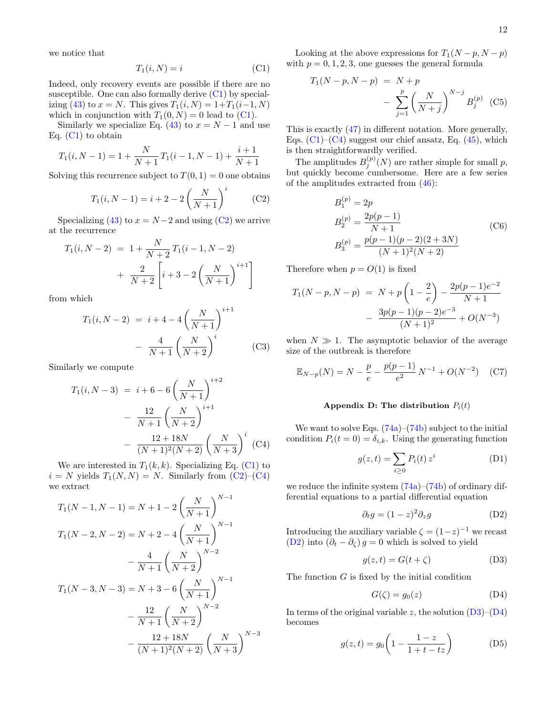we notice that

<span id="page-11-1"></span>
$$
T_1(i, N) = i \tag{C1}
$$

Indeed, only recovery events are possible if there are no susceptible. One can also formally derive  $(C1)$  by special-izing [\(43\)](#page-4-10) to  $x = N$ . This gives  $T_1(i, N) = 1 + T_1(i-1, N)$ which in conjunction with  $T_1(0, N) = 0$  lead to  $(C1)$ .

Similarly we specialize Eq. [\(43\)](#page-4-10) to  $x = N - 1$  and use Eq.  $(C1)$  to obtain

$$
T_1(i, N - 1) = 1 + \frac{N}{N+1} T_1(i - 1, N - 1) + \frac{i+1}{N+1}
$$

Solving this recurrence subject to  $T(0, 1) = 0$  one obtains

<span id="page-11-2"></span>
$$
T_1(i, N - 1) = i + 2 - 2\left(\frac{N}{N + 1}\right)^i \tag{C2}
$$

Specializing [\(43\)](#page-4-10) to  $x = N - 2$  and using [\(C2\)](#page-11-2) we arrive at the recurrence

$$
T_1(i, N-2) = 1 + \frac{N}{N+2} T_1(i-1, N-2)
$$
  
+ 
$$
\frac{2}{N+2} \left[ i+3-2\left(\frac{N}{N+1}\right)^{i+1} \right]
$$

from which

$$
T_1(i, N-2) = i + 4 - 4\left(\frac{N}{N+1}\right)^{i+1} - \frac{4}{N+1}\left(\frac{N}{N+2}\right)^i
$$
 (C3)

Similarly we compute

<span id="page-11-3"></span>
$$
T_1(i, N-3) = i + 6 - 6\left(\frac{N}{N+1}\right)^{i+2}
$$

$$
- \frac{12}{N+1} \left(\frac{N}{N+2}\right)^{i+1}
$$

$$
- \frac{12 + 18N}{(N+1)^2(N+2)} \left(\frac{N}{N+3}\right)^i \quad (C4)
$$

We are interested in  $T_1(k, k)$ . Specializing Eq. [\(C1\)](#page-11-1) to  $i = N$  yields  $T_1(N, N) = N$ . Similarly from  $(C2)$ – $(C4)$ we extract

$$
T_1(N-1, N-1) = N + 1 - 2\left(\frac{N}{N+1}\right)^{N-1}
$$
  
\n
$$
T_1(N-2, N-2) = N + 2 - 4\left(\frac{N}{N+1}\right)^{N-1}
$$
  
\n
$$
-\frac{4}{N+1}\left(\frac{N}{N+2}\right)^{N-2}
$$
  
\n
$$
T_1(N-3, N-3) = N + 3 - 6\left(\frac{N}{N+1}\right)^{N-1}
$$
  
\n
$$
-\frac{12}{N+1}\left(\frac{N}{N+2}\right)^{N-2}
$$
  
\n
$$
-\frac{12 + 18N}{(N+1)^2(N+2)}\left(\frac{N}{N+3}\right)^{N-3}
$$

Looking at the above expressions for  $T_1(N-p, N-p)$ with  $p = 0, 1, 2, 3$ , one guesses the general formula

$$
T_1(N - p, N - p) = N + p
$$
  
- 
$$
\sum_{j=1}^p \left(\frac{N}{N+j}\right)^{N-j} B_j^{(p)} \quad \text{(C5)}
$$

This is exactly [\(47\)](#page-5-6) in different notation. More generally, Eqs.  $(C1)$ – $(C4)$  suggest our chief ansatz, Eq.  $(45)$ , which is then straightforwardly verified.

The amplitudes  $B_j^{(p)}(N)$  are rather simple for small p, but quickly become cumbersome. Here are a few series of the amplitudes extracted from [\(46\)](#page-5-2):

$$
B_1^{(p)} = 2p
$$
  
\n
$$
B_2^{(p)} = \frac{2p(p-1)}{N+1}
$$
  
\n
$$
B_3^{(p)} = \frac{p(p-1)(p-2)(2+3N)}{(N+1)^2(N+2)}
$$
\n(C6)

Therefore when  $p = O(1)$  is fixed

$$
T_1(N-p, N-p) = N + p \left(1 - \frac{2}{e}\right) - \frac{2p(p-1)e^{-2}}{N+1}
$$

$$
- \frac{3p(p-1)(p-2)e^{-3}}{(N+1)^2} + O(N^{-3})
$$

when  $N \gg 1$ . The asymptotic behavior of the average size of the outbreak is therefore

$$
\mathbb{E}_{N-p}(N) = N - \frac{p}{e} - \frac{p(p-1)}{e^2} N^{-1} + O(N^{-2}) \quad (C7)
$$

## <span id="page-11-0"></span>Appendix D: The distribution  $P_i(t)$

We want to solve Eqs.  $(74a)$ – $(74b)$  subject to the initial condition  $P_i(t=0) = \delta_{i,k}$ . Using the generating function

$$
g(z,t) = \sum_{i \ge 0} P_i(t) z^i
$$
 (D1)

we reduce the infinite system  $(74a)$ – $(74b)$  of ordinary differential equations to a partial differential equation

<span id="page-11-4"></span>
$$
\partial_t g = (1 - z)^2 \partial_z g \tag{D2}
$$

Introducing the auxiliary variable  $\zeta = (1-z)^{-1}$  we recast [\(D2\)](#page-11-4) into  $(\partial_t - \partial_\zeta) g = 0$  which is solved to yield

<span id="page-11-5"></span>
$$
g(z,t) = G(t+\zeta) \tag{D3}
$$

The function  $G$  is fixed by the initial condition

<span id="page-11-6"></span>
$$
G(\zeta) = g_0(z) \tag{D4}
$$

In terms of the original variable z, the solution  $(D3)$ – $(D4)$ becomes

$$
g(z,t) = g_0 \left( 1 - \frac{1-z}{1+t-tz} \right) \tag{D5}
$$